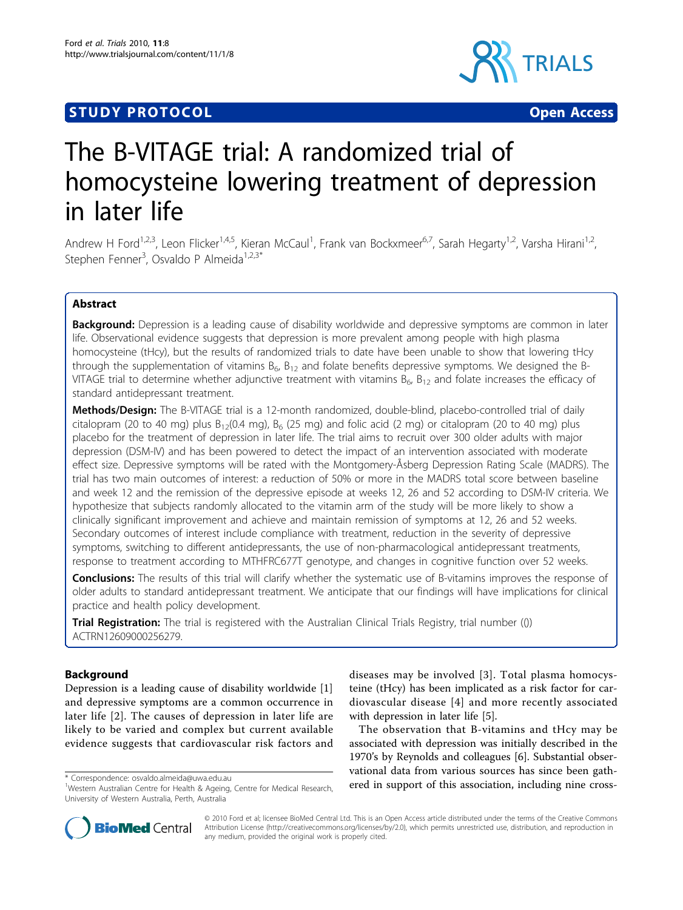## **STUDY PROTOCOL CONSUMING THE CONSUMING OPEN ACCESS**



# The B-VITAGE trial: A randomized trial of homocysteine lowering treatment of depression in later life

Andrew H Ford<sup>1,2,3</sup>, Leon Flicker<sup>1,4,5</sup>, Kieran McCaul<sup>1</sup>, Frank van Bockxmeer<sup>6,7</sup>, Sarah Hegarty<sup>1,2</sup>, Varsha Hirani<sup>1,2</sup>, Stephen Fenner<sup>3</sup>, Osvaldo P Almeida<sup>1,2,3\*</sup>

## Abstract

**Background:** Depression is a leading cause of disability worldwide and depressive symptoms are common in later life. Observational evidence suggests that depression is more prevalent among people with high plasma homocysteine (tHcy), but the results of randomized trials to date have been unable to show that lowering tHcy through the supplementation of vitamins  $B_6$ ,  $B_{12}$  and folate benefits depressive symptoms. We designed the B-VITAGE trial to determine whether adjunctive treatment with vitamins  $B_6$ ,  $B_{12}$  and folate increases the efficacy of standard antidepressant treatment.

Methods/Design: The B-VITAGE trial is a 12-month randomized, double-blind, placebo-controlled trial of daily citalopram (20 to 40 mg) plus  $B_{12}(0.4 \text{ mg})$ ,  $B_6$  (25 mg) and folic acid (2 mg) or citalopram (20 to 40 mg) plus placebo for the treatment of depression in later life. The trial aims to recruit over 300 older adults with major depression (DSM-IV) and has been powered to detect the impact of an intervention associated with moderate effect size. Depressive symptoms will be rated with the Montgomery-Åsberg Depression Rating Scale (MADRS). The trial has two main outcomes of interest: a reduction of 50% or more in the MADRS total score between baseline and week 12 and the remission of the depressive episode at weeks 12, 26 and 52 according to DSM-IV criteria. We hypothesize that subjects randomly allocated to the vitamin arm of the study will be more likely to show a clinically significant improvement and achieve and maintain remission of symptoms at 12, 26 and 52 weeks. Secondary outcomes of interest include compliance with treatment, reduction in the severity of depressive symptoms, switching to different antidepressants, the use of non-pharmacological antidepressant treatments, response to treatment according to MTHFRC677T genotype, and changes in cognitive function over 52 weeks.

**Conclusions:** The results of this trial will clarify whether the systematic use of B-vitamins improves the response of older adults to standard antidepressant treatment. We anticipate that our findings will have implications for clinical practice and health policy development.

**Trial Registration:** The trial is registered with the Australian Clinical Trials Registry, trial number (()) ACTRN12609000256279.

## Background

Depression is a leading cause of disability worldwide [\[1](#page-6-0)] and depressive symptoms are a common occurrence in later life [[2\]](#page-6-0). The causes of depression in later life are likely to be varied and complex but current available evidence suggests that cardiovascular risk factors and

diseases may be involved [[3\]](#page-6-0). Total plasma homocysteine (tHcy) has been implicated as a risk factor for cardiovascular disease [[4\]](#page-6-0) and more recently associated with depression in later life [[5](#page-6-0)].

The observation that B-vitamins and tHcy may be associated with depression was initially described in the 1970's by Reynolds and colleagues [[6\]](#page-6-0). Substantial observational data from various sources has since been gath\* Correspondence: [osvaldo.almeida@uwa.edu.au](mailto:osvaldo.almeida@uwa.edu.au)<br><sup>1</sup>Western Australian Centre for Health & Ageing Centre for Medical Research **ered in support of this association, including nine cross-**



© 2010 Ford et al; licensee BioMed Central Ltd. This is an Open Access article distributed under the terms of the Creative Commons Attribution License [\(http://creativecommons.org/licenses/by/2.0](http://creativecommons.org/licenses/by/2.0)), which permits unrestricted use, distribution, and reproduction in any medium, provided the original work is properly cited.

<sup>&</sup>lt;sup>1</sup>Western Australian Centre for Health & Ageing, Centre for Medical Research, University of Western Australia, Perth, Australia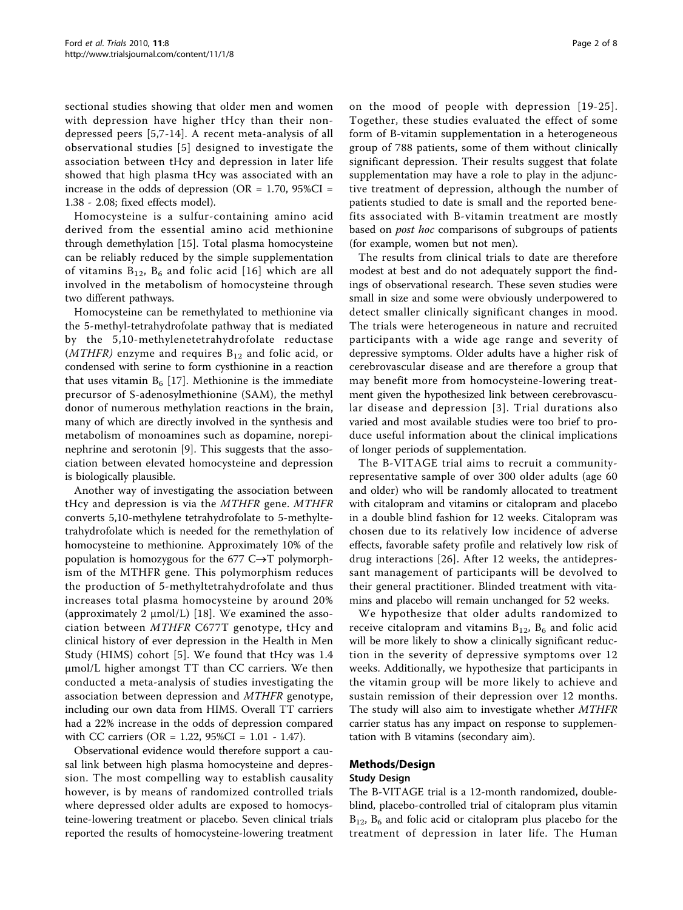sectional studies showing that older men and women with depression have higher tHcy than their nondepressed peers [\[5](#page-6-0),[7-](#page-6-0)[14\]](#page-7-0). A recent meta-analysis of all observational studies [[5](#page-6-0)] designed to investigate the association between tHcy and depression in later life showed that high plasma tHcy was associated with an increase in the odds of depression (OR =  $1.70$ ,  $95\%CI =$ 1.38 - 2.08; fixed effects model).

Homocysteine is a sulfur-containing amino acid derived from the essential amino acid methionine through demethylation [\[15\]](#page-7-0). Total plasma homocysteine can be reliably reduced by the simple supplementation of vitamins  $B_{12}$ ,  $B_6$  and folic acid [[16](#page-7-0)] which are all involved in the metabolism of homocysteine through two different pathways.

Homocysteine can be remethylated to methionine via the 5-methyl-tetrahydrofolate pathway that is mediated by the 5,10-methylenetetrahydrofolate reductase (*MTHFR*) enzyme and requires  $B_{12}$  and folic acid, or condensed with serine to form cysthionine in a reaction that uses vitamin  $B_6$  [[17](#page-7-0)]. Methionine is the immediate precursor of S-adenosylmethionine (SAM), the methyl donor of numerous methylation reactions in the brain, many of which are directly involved in the synthesis and metabolism of monoamines such as dopamine, norepinephrine and serotonin [[9\]](#page-6-0). This suggests that the association between elevated homocysteine and depression is biologically plausible.

Another way of investigating the association between tHcy and depression is via the MTHFR gene. MTHFR converts 5,10-methylene tetrahydrofolate to 5-methyltetrahydrofolate which is needed for the remethylation of homocysteine to methionine. Approximately 10% of the population is homozygous for the 677 C $\rightarrow$ T polymorphism of the MTHFR gene. This polymorphism reduces the production of 5-methyltetrahydrofolate and thus increases total plasma homocysteine by around 20% (approximately 2 μmol/L) [\[18](#page-7-0)]. We examined the association between MTHFR C677T genotype, tHcy and clinical history of ever depression in the Health in Men Study (HIMS) cohort [[5\]](#page-6-0). We found that tHcy was 1.4 μmol/L higher amongst TT than CC carriers. We then conducted a meta-analysis of studies investigating the association between depression and MTHFR genotype, including our own data from HIMS. Overall TT carriers had a 22% increase in the odds of depression compared with CC carriers (OR = 1.22, 95%CI = 1.01 - 1.47).

Observational evidence would therefore support a causal link between high plasma homocysteine and depression. The most compelling way to establish causality however, is by means of randomized controlled trials where depressed older adults are exposed to homocysteine-lowering treatment or placebo. Seven clinical trials reported the results of homocysteine-lowering treatment on the mood of people with depression [[19](#page-7-0)-[25\]](#page-7-0). Together, these studies evaluated the effect of some form of B-vitamin supplementation in a heterogeneous group of 788 patients, some of them without clinically significant depression. Their results suggest that folate supplementation may have a role to play in the adjunctive treatment of depression, although the number of patients studied to date is small and the reported benefits associated with B-vitamin treatment are mostly based on post hoc comparisons of subgroups of patients (for example, women but not men).

The results from clinical trials to date are therefore modest at best and do not adequately support the findings of observational research. These seven studies were small in size and some were obviously underpowered to detect smaller clinically significant changes in mood. The trials were heterogeneous in nature and recruited participants with a wide age range and severity of depressive symptoms. Older adults have a higher risk of cerebrovascular disease and are therefore a group that may benefit more from homocysteine-lowering treatment given the hypothesized link between cerebrovascular disease and depression [[3](#page-6-0)]. Trial durations also varied and most available studies were too brief to produce useful information about the clinical implications of longer periods of supplementation.

The B-VITAGE trial aims to recruit a communityrepresentative sample of over 300 older adults (age 60 and older) who will be randomly allocated to treatment with citalopram and vitamins or citalopram and placebo in a double blind fashion for 12 weeks. Citalopram was chosen due to its relatively low incidence of adverse effects, favorable safety profile and relatively low risk of drug interactions [[26\]](#page-7-0). After 12 weeks, the antidepressant management of participants will be devolved to their general practitioner. Blinded treatment with vitamins and placebo will remain unchanged for 52 weeks.

We hypothesize that older adults randomized to receive citalopram and vitamins  $B_{12}$ ,  $B_6$  and folic acid will be more likely to show a clinically significant reduction in the severity of depressive symptoms over 12 weeks. Additionally, we hypothesize that participants in the vitamin group will be more likely to achieve and sustain remission of their depression over 12 months. The study will also aim to investigate whether MTHFR carrier status has any impact on response to supplementation with B vitamins (secondary aim).

#### Methods/Design

#### Study Design

The B-VITAGE trial is a 12-month randomized, doubleblind, placebo-controlled trial of citalopram plus vitamin  $B_{12}$ ,  $B_6$  and folic acid or citalopram plus placebo for the treatment of depression in later life. The Human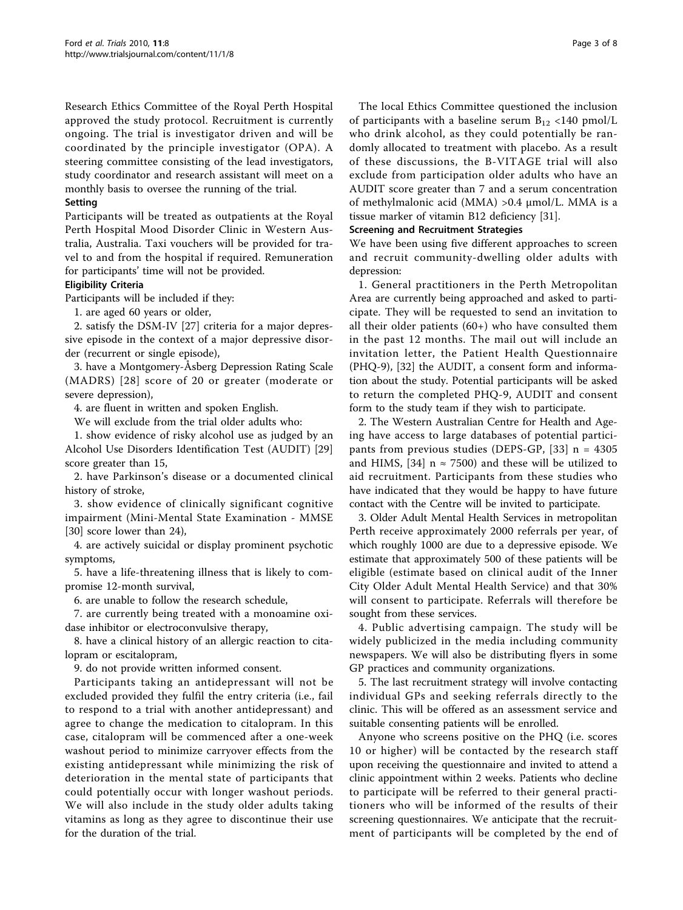Research Ethics Committee of the Royal Perth Hospital approved the study protocol. Recruitment is currently ongoing. The trial is investigator driven and will be coordinated by the principle investigator (OPA). A steering committee consisting of the lead investigators, study coordinator and research assistant will meet on a monthly basis to oversee the running of the trial.

#### Setting

Participants will be treated as outpatients at the Royal Perth Hospital Mood Disorder Clinic in Western Australia, Australia. Taxi vouchers will be provided for travel to and from the hospital if required. Remuneration for participants' time will not be provided.

#### Eligibility Criteria

Participants will be included if they:

1. are aged 60 years or older,

2. satisfy the DSM-IV [\[27](#page-7-0)] criteria for a major depressive episode in the context of a major depressive disorder (recurrent or single episode),

3. have a Montgomery-Åsberg Depression Rating Scale (MADRS) [[28\]](#page-7-0) score of 20 or greater (moderate or severe depression),

4. are fluent in written and spoken English.

We will exclude from the trial older adults who:

1. show evidence of risky alcohol use as judged by an Alcohol Use Disorders Identification Test (AUDIT) [[29](#page-7-0)] score greater than 15,

2. have Parkinson's disease or a documented clinical history of stroke,

3. show evidence of clinically significant cognitive impairment (Mini-Mental State Examination - MMSE [[30\]](#page-7-0) score lower than 24),

4. are actively suicidal or display prominent psychotic symptoms,

5. have a life-threatening illness that is likely to compromise 12-month survival,

6. are unable to follow the research schedule,

7. are currently being treated with a monoamine oxidase inhibitor or electroconvulsive therapy,

8. have a clinical history of an allergic reaction to citalopram or escitalopram,

9. do not provide written informed consent.

Participants taking an antidepressant will not be excluded provided they fulfil the entry criteria (i.e., fail to respond to a trial with another antidepressant) and agree to change the medication to citalopram. In this case, citalopram will be commenced after a one-week washout period to minimize carryover effects from the existing antidepressant while minimizing the risk of deterioration in the mental state of participants that could potentially occur with longer washout periods. We will also include in the study older adults taking vitamins as long as they agree to discontinue their use for the duration of the trial.

The local Ethics Committee questioned the inclusion of participants with a baseline serum  $B_{12}$  <140 pmol/L who drink alcohol, as they could potentially be randomly allocated to treatment with placebo. As a result of these discussions, the B-VITAGE trial will also exclude from participation older adults who have an AUDIT score greater than 7 and a serum concentration of methylmalonic acid (MMA) >0.4 μmol/L. MMA is a tissue marker of vitamin B12 deficiency [[31\]](#page-7-0).

#### Screening and Recruitment Strategies

We have been using five different approaches to screen and recruit community-dwelling older adults with depression:

1. General practitioners in the Perth Metropolitan Area are currently being approached and asked to participate. They will be requested to send an invitation to all their older patients (60+) who have consulted them in the past 12 months. The mail out will include an invitation letter, the Patient Health Questionnaire (PHQ-9), [\[32\]](#page-7-0) the AUDIT, a consent form and information about the study. Potential participants will be asked to return the completed PHQ-9, AUDIT and consent form to the study team if they wish to participate.

2. The Western Australian Centre for Health and Ageing have access to large databases of potential participants from previous studies (DEPS-GP, [[33\]](#page-7-0) n = 4305 and HIMS, [[34](#page-7-0)]  $n \approx 7500$ ) and these will be utilized to aid recruitment. Participants from these studies who have indicated that they would be happy to have future contact with the Centre will be invited to participate.

3. Older Adult Mental Health Services in metropolitan Perth receive approximately 2000 referrals per year, of which roughly 1000 are due to a depressive episode. We estimate that approximately 500 of these patients will be eligible (estimate based on clinical audit of the Inner City Older Adult Mental Health Service) and that 30% will consent to participate. Referrals will therefore be sought from these services.

4. Public advertising campaign. The study will be widely publicized in the media including community newspapers. We will also be distributing flyers in some GP practices and community organizations.

5. The last recruitment strategy will involve contacting individual GPs and seeking referrals directly to the clinic. This will be offered as an assessment service and suitable consenting patients will be enrolled.

Anyone who screens positive on the PHQ (i.e. scores 10 or higher) will be contacted by the research staff upon receiving the questionnaire and invited to attend a clinic appointment within 2 weeks. Patients who decline to participate will be referred to their general practitioners who will be informed of the results of their screening questionnaires. We anticipate that the recruitment of participants will be completed by the end of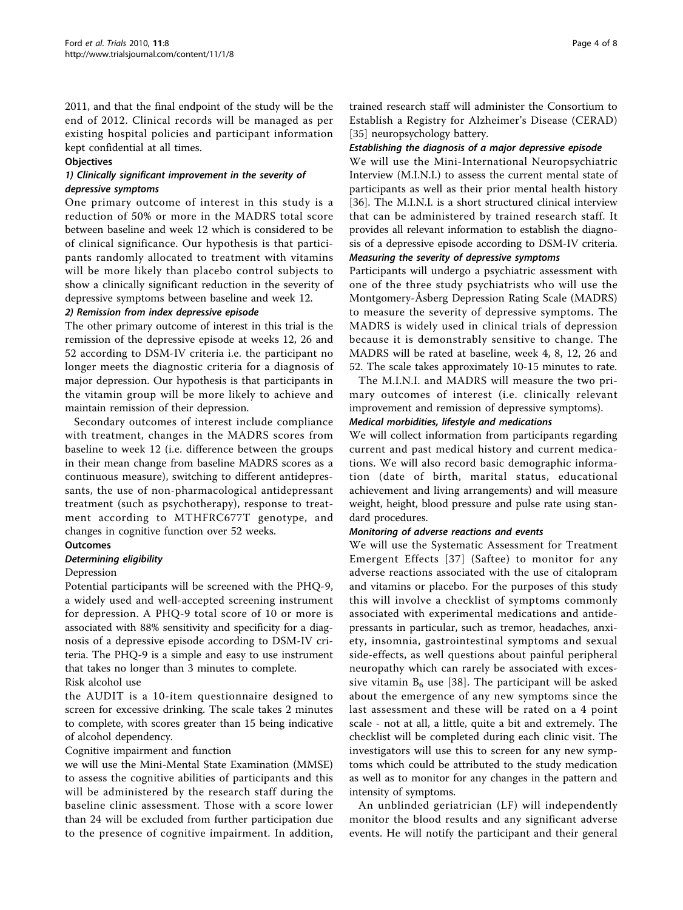2011, and that the final endpoint of the study will be the end of 2012. Clinical records will be managed as per existing hospital policies and participant information kept confidential at all times.

#### **Objectives**

#### 1) Clinically significant improvement in the severity of depressive symptoms

One primary outcome of interest in this study is a reduction of 50% or more in the MADRS total score between baseline and week 12 which is considered to be of clinical significance. Our hypothesis is that participants randomly allocated to treatment with vitamins will be more likely than placebo control subjects to show a clinically significant reduction in the severity of depressive symptoms between baseline and week 12.

#### 2) Remission from index depressive episode

The other primary outcome of interest in this trial is the remission of the depressive episode at weeks 12, 26 and 52 according to DSM-IV criteria i.e. the participant no longer meets the diagnostic criteria for a diagnosis of major depression. Our hypothesis is that participants in the vitamin group will be more likely to achieve and maintain remission of their depression.

Secondary outcomes of interest include compliance with treatment, changes in the MADRS scores from baseline to week 12 (i.e. difference between the groups in their mean change from baseline MADRS scores as a continuous measure), switching to different antidepressants, the use of non-pharmacological antidepressant treatment (such as psychotherapy), response to treatment according to MTHFRC677T genotype, and changes in cognitive function over 52 weeks.

#### **Outcomes**

#### Determining eligibility

#### Depression

Potential participants will be screened with the PHQ-9, a widely used and well-accepted screening instrument for depression. A PHQ-9 total score of 10 or more is associated with 88% sensitivity and specificity for a diagnosis of a depressive episode according to DSM-IV criteria. The PHQ-9 is a simple and easy to use instrument that takes no longer than 3 minutes to complete.

## Risk alcohol use

the AUDIT is a 10-item questionnaire designed to screen for excessive drinking. The scale takes 2 minutes to complete, with scores greater than 15 being indicative of alcohol dependency.

#### Cognitive impairment and function

we will use the Mini-Mental State Examination (MMSE) to assess the cognitive abilities of participants and this will be administered by the research staff during the baseline clinic assessment. Those with a score lower than 24 will be excluded from further participation due to the presence of cognitive impairment. In addition,

trained research staff will administer the Consortium to Establish a Registry for Alzheimer's Disease (CERAD) [[35\]](#page-7-0) neuropsychology battery.

#### Establishing the diagnosis of a major depressive episode

We will use the Mini-International Neuropsychiatric Interview (M.I.N.I.) to assess the current mental state of participants as well as their prior mental health history [[36\]](#page-7-0). The M.I.N.I. is a short structured clinical interview that can be administered by trained research staff. It provides all relevant information to establish the diagnosis of a depressive episode according to DSM-IV criteria. Measuring the severity of depressive symptoms

Participants will undergo a psychiatric assessment with one of the three study psychiatrists who will use the Montgomery-Åsberg Depression Rating Scale (MADRS) to measure the severity of depressive symptoms. The MADRS is widely used in clinical trials of depression because it is demonstrably sensitive to change. The MADRS will be rated at baseline, week 4, 8, 12, 26 and 52. The scale takes approximately 10-15 minutes to rate.

The M.I.N.I. and MADRS will measure the two primary outcomes of interest (i.e. clinically relevant improvement and remission of depressive symptoms).

### Medical morbidities, lifestyle and medications

We will collect information from participants regarding current and past medical history and current medications. We will also record basic demographic information (date of birth, marital status, educational achievement and living arrangements) and will measure weight, height, blood pressure and pulse rate using standard procedures.

#### Monitoring of adverse reactions and events

We will use the Systematic Assessment for Treatment Emergent Effects [[37](#page-7-0)] (Saftee) to monitor for any adverse reactions associated with the use of citalopram and vitamins or placebo. For the purposes of this study this will involve a checklist of symptoms commonly associated with experimental medications and antidepressants in particular, such as tremor, headaches, anxiety, insomnia, gastrointestinal symptoms and sexual side-effects, as well questions about painful peripheral neuropathy which can rarely be associated with excessive vitamin  $B_6$  use [[38](#page-7-0)]. The participant will be asked about the emergence of any new symptoms since the last assessment and these will be rated on a 4 point scale - not at all, a little, quite a bit and extremely. The checklist will be completed during each clinic visit. The investigators will use this to screen for any new symptoms which could be attributed to the study medication as well as to monitor for any changes in the pattern and intensity of symptoms.

An unblinded geriatrician (LF) will independently monitor the blood results and any significant adverse events. He will notify the participant and their general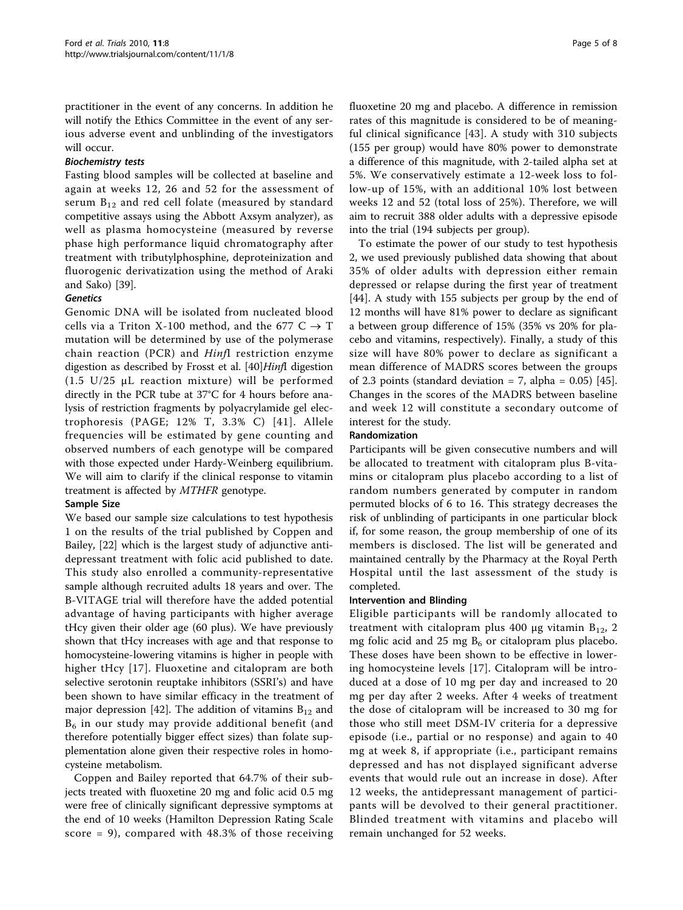practitioner in the event of any concerns. In addition he will notify the Ethics Committee in the event of any serious adverse event and unblinding of the investigators will occur.

#### Biochemistry tests

Fasting blood samples will be collected at baseline and again at weeks 12, 26 and 52 for the assessment of serum  $B_{12}$  and red cell folate (measured by standard competitive assays using the Abbott Axsym analyzer), as well as plasma homocysteine (measured by reverse phase high performance liquid chromatography after treatment with tributylphosphine, deproteinization and fluorogenic derivatization using the method of Araki and Sako) [[39\]](#page-7-0).

## Genetics

Genomic DNA will be isolated from nucleated blood cells via a Triton X-100 method, and the 677  $C \rightarrow T$ mutation will be determined by use of the polymerase chain reaction (PCR) and Hinfl restriction enzyme digestion as described by Frosst et al. [[40](#page-7-0)]*Hinfl* digestion (1.5 U/25 μL reaction mixture) will be performed directly in the PCR tube at 37°C for 4 hours before analysis of restriction fragments by polyacrylamide gel electrophoresis (PAGE; 12% T, 3.3% C) [[41](#page-7-0)]. Allele frequencies will be estimated by gene counting and observed numbers of each genotype will be compared with those expected under Hardy-Weinberg equilibrium. We will aim to clarify if the clinical response to vitamin treatment is affected by MTHFR genotype.

## Sample Size

We based our sample size calculations to test hypothesis 1 on the results of the trial published by Coppen and Bailey, [[22](#page-7-0)] which is the largest study of adjunctive antidepressant treatment with folic acid published to date. This study also enrolled a community-representative sample although recruited adults 18 years and over. The B-VITAGE trial will therefore have the added potential advantage of having participants with higher average tHcy given their older age (60 plus). We have previously shown that tHcy increases with age and that response to homocysteine-lowering vitamins is higher in people with higher tHcy [[17\]](#page-7-0). Fluoxetine and citalopram are both selective serotonin reuptake inhibitors (SSRI's) and have been shown to have similar efficacy in the treatment of major depression [\[42](#page-7-0)]. The addition of vitamins  $B_{12}$  and  $B<sub>6</sub>$  in our study may provide additional benefit (and therefore potentially bigger effect sizes) than folate supplementation alone given their respective roles in homocysteine metabolism.

Coppen and Bailey reported that 64.7% of their subjects treated with fluoxetine 20 mg and folic acid 0.5 mg were free of clinically significant depressive symptoms at the end of 10 weeks (Hamilton Depression Rating Scale score = 9), compared with 48.3% of those receiving fluoxetine 20 mg and placebo. A difference in remission rates of this magnitude is considered to be of meaningful clinical significance [[43\]](#page-7-0). A study with 310 subjects (155 per group) would have 80% power to demonstrate a difference of this magnitude, with 2-tailed alpha set at 5%. We conservatively estimate a 12-week loss to follow-up of 15%, with an additional 10% lost between weeks 12 and 52 (total loss of 25%). Therefore, we will aim to recruit 388 older adults with a depressive episode into the trial (194 subjects per group).

To estimate the power of our study to test hypothesis 2, we used previously published data showing that about 35% of older adults with depression either remain depressed or relapse during the first year of treatment [[44\]](#page-7-0). A study with 155 subjects per group by the end of 12 months will have 81% power to declare as significant a between group difference of 15% (35% vs 20% for placebo and vitamins, respectively). Finally, a study of this size will have 80% power to declare as significant a mean difference of MADRS scores between the groups of 2.3 points (standard deviation = 7, alpha =  $0.05$ ) [\[45](#page-7-0)]. Changes in the scores of the MADRS between baseline and week 12 will constitute a secondary outcome of interest for the study.

#### Randomization

Participants will be given consecutive numbers and will be allocated to treatment with citalopram plus B-vitamins or citalopram plus placebo according to a list of random numbers generated by computer in random permuted blocks of 6 to 16. This strategy decreases the risk of unblinding of participants in one particular block if, for some reason, the group membership of one of its members is disclosed. The list will be generated and maintained centrally by the Pharmacy at the Royal Perth Hospital until the last assessment of the study is completed.

#### Intervention and Blinding

Eligible participants will be randomly allocated to treatment with citalopram plus 400 μg vitamin  $B_{12}$ , 2 mg folic acid and 25 mg  $B_6$  or citalopram plus placebo. These doses have been shown to be effective in lowering homocysteine levels [[17\]](#page-7-0). Citalopram will be introduced at a dose of 10 mg per day and increased to 20 mg per day after 2 weeks. After 4 weeks of treatment the dose of citalopram will be increased to 30 mg for those who still meet DSM-IV criteria for a depressive episode (i.e., partial or no response) and again to 40 mg at week 8, if appropriate (i.e., participant remains depressed and has not displayed significant adverse events that would rule out an increase in dose). After 12 weeks, the antidepressant management of participants will be devolved to their general practitioner. Blinded treatment with vitamins and placebo will remain unchanged for 52 weeks.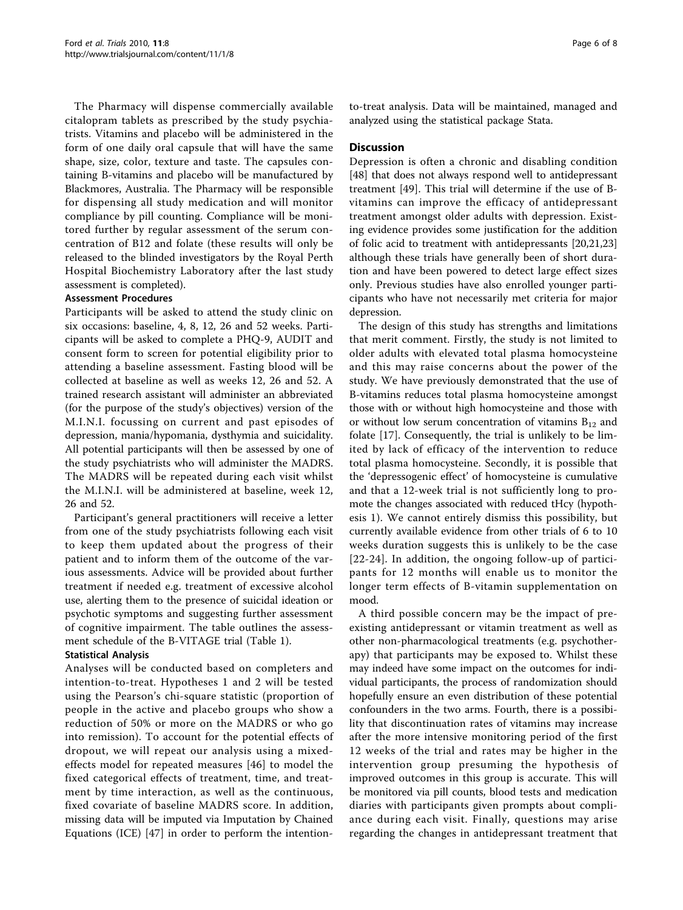The Pharmacy will dispense commercially available citalopram tablets as prescribed by the study psychiatrists. Vitamins and placebo will be administered in the form of one daily oral capsule that will have the same shape, size, color, texture and taste. The capsules containing B-vitamins and placebo will be manufactured by Blackmores, Australia. The Pharmacy will be responsible for dispensing all study medication and will monitor compliance by pill counting. Compliance will be monitored further by regular assessment of the serum concentration of B12 and folate (these results will only be released to the blinded investigators by the Royal Perth Hospital Biochemistry Laboratory after the last study assessment is completed).

#### Assessment Procedures

Participants will be asked to attend the study clinic on six occasions: baseline, 4, 8, 12, 26 and 52 weeks. Participants will be asked to complete a PHQ-9, AUDIT and consent form to screen for potential eligibility prior to attending a baseline assessment. Fasting blood will be collected at baseline as well as weeks 12, 26 and 52. A trained research assistant will administer an abbreviated (for the purpose of the study's objectives) version of the M.I.N.I. focussing on current and past episodes of depression, mania/hypomania, dysthymia and suicidality. All potential participants will then be assessed by one of the study psychiatrists who will administer the MADRS. The MADRS will be repeated during each visit whilst the M.I.N.I. will be administered at baseline, week 12, 26 and 52.

Participant's general practitioners will receive a letter from one of the study psychiatrists following each visit to keep them updated about the progress of their patient and to inform them of the outcome of the various assessments. Advice will be provided about further treatment if needed e.g. treatment of excessive alcohol use, alerting them to the presence of suicidal ideation or psychotic symptoms and suggesting further assessment of cognitive impairment. The table outlines the assessment schedule of the B-VITAGE trial (Table [1](#page-6-0)).

#### Statistical Analysis

Analyses will be conducted based on completers and intention-to-treat. Hypotheses 1 and 2 will be tested using the Pearson's chi-square statistic (proportion of people in the active and placebo groups who show a reduction of 50% or more on the MADRS or who go into remission). To account for the potential effects of dropout, we will repeat our analysis using a mixedeffects model for repeated measures [\[46\]](#page-7-0) to model the fixed categorical effects of treatment, time, and treatment by time interaction, as well as the continuous, fixed covariate of baseline MADRS score. In addition, missing data will be imputed via Imputation by Chained Equations (ICE) [[47\]](#page-7-0) in order to perform the intention-

to-treat analysis. Data will be maintained, managed and analyzed using the statistical package Stata.

#### **Discussion**

Depression is often a chronic and disabling condition [[48\]](#page-7-0) that does not always respond well to antidepressant treatment [[49\]](#page-7-0). This trial will determine if the use of Bvitamins can improve the efficacy of antidepressant treatment amongst older adults with depression. Existing evidence provides some justification for the addition of folic acid to treatment with antidepressants [[20,21](#page-7-0),[23](#page-7-0)] although these trials have generally been of short duration and have been powered to detect large effect sizes only. Previous studies have also enrolled younger participants who have not necessarily met criteria for major depression.

The design of this study has strengths and limitations that merit comment. Firstly, the study is not limited to older adults with elevated total plasma homocysteine and this may raise concerns about the power of the study. We have previously demonstrated that the use of B-vitamins reduces total plasma homocysteine amongst those with or without high homocysteine and those with or without low serum concentration of vitamins  $B_{12}$  and folate [\[17](#page-7-0)]. Consequently, the trial is unlikely to be limited by lack of efficacy of the intervention to reduce total plasma homocysteine. Secondly, it is possible that the 'depressogenic effect' of homocysteine is cumulative and that a 12-week trial is not sufficiently long to promote the changes associated with reduced tHcy (hypothesis 1). We cannot entirely dismiss this possibility, but currently available evidence from other trials of 6 to 10 weeks duration suggests this is unlikely to be the case [[22](#page-7-0)-[24](#page-7-0)]. In addition, the ongoing follow-up of participants for 12 months will enable us to monitor the longer term effects of B-vitamin supplementation on mood.

A third possible concern may be the impact of preexisting antidepressant or vitamin treatment as well as other non-pharmacological treatments (e.g. psychotherapy) that participants may be exposed to. Whilst these may indeed have some impact on the outcomes for individual participants, the process of randomization should hopefully ensure an even distribution of these potential confounders in the two arms. Fourth, there is a possibility that discontinuation rates of vitamins may increase after the more intensive monitoring period of the first 12 weeks of the trial and rates may be higher in the intervention group presuming the hypothesis of improved outcomes in this group is accurate. This will be monitored via pill counts, blood tests and medication diaries with participants given prompts about compliance during each visit. Finally, questions may arise regarding the changes in antidepressant treatment that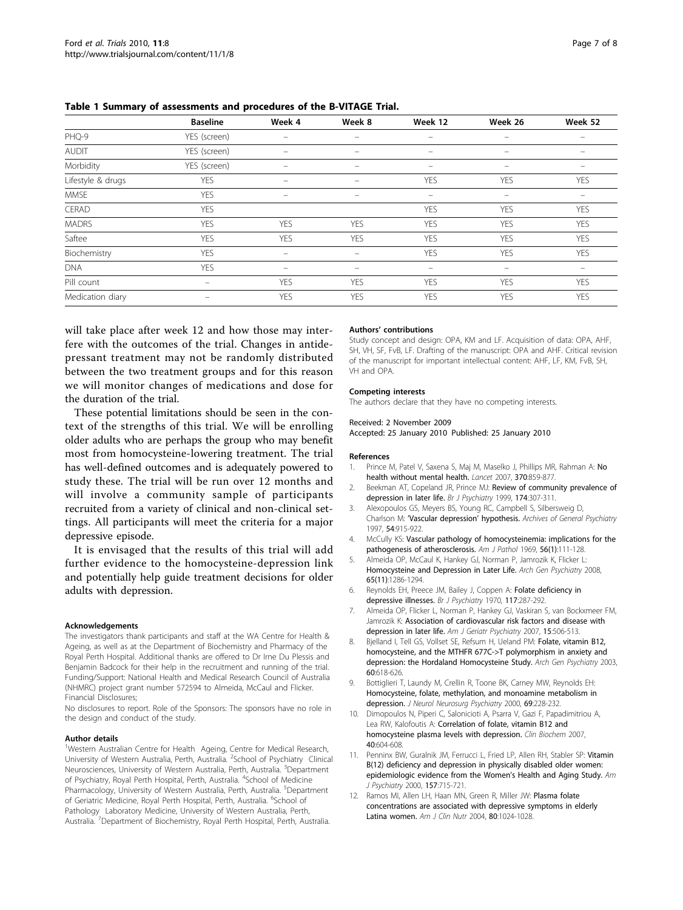<span id="page-6-0"></span>Table 1 Summary of assessments and procedures of the B-VITAGE Trial.

|                   | <b>Baseline</b> | Week 4     | Week 8                   | Week 12                  | Week 26           | Week 52    |
|-------------------|-----------------|------------|--------------------------|--------------------------|-------------------|------------|
| PHQ-9             | YES (screen)    | -          | $\overline{\phantom{0}}$ | -                        |                   |            |
| <b>AUDIT</b>      | YES (screen)    |            | -                        |                          |                   |            |
| Morbidity         | YES (screen)    |            | -                        | $\overline{\phantom{0}}$ |                   |            |
| Lifestyle & drugs | <b>YES</b>      | $\equiv$   | $\overline{\phantom{0}}$ | <b>YES</b>               | <b>YES</b>        | <b>YES</b> |
| <b>MMSE</b>       | <b>YES</b>      |            | $\equiv$                 | $\qquad \qquad -$        | $\qquad \qquad -$ | -          |
| CERAD             | <b>YES</b>      |            |                          | <b>YES</b>               | <b>YES</b>        | <b>YES</b> |
| <b>MADRS</b>      | <b>YES</b>      | <b>YES</b> | <b>YES</b>               | <b>YES</b>               | <b>YES</b>        | <b>YES</b> |
| Saftee            | <b>YES</b>      | <b>YES</b> | YES                      | <b>YES</b>               | <b>YES</b>        | <b>YES</b> |
| Biochemistry      | <b>YES</b>      |            | $\overline{\phantom{0}}$ | <b>YES</b>               | <b>YES</b>        | <b>YES</b> |
| <b>DNA</b>        | <b>YES</b>      | $\equiv$   | $\qquad \qquad =$        | $\qquad \qquad =$        | $\equiv$          | $\equiv$   |
| Pill count        | $\equiv$        | <b>YES</b> | YES                      | <b>YES</b>               | <b>YES</b>        | <b>YES</b> |
| Medication diary  | $\equiv$        | <b>YES</b> | <b>YES</b>               | <b>YES</b>               | <b>YES</b>        | <b>YES</b> |

will take place after week 12 and how those may interfere with the outcomes of the trial. Changes in antidepressant treatment may not be randomly distributed between the two treatment groups and for this reason we will monitor changes of medications and dose for the duration of the trial.

These potential limitations should be seen in the context of the strengths of this trial. We will be enrolling older adults who are perhaps the group who may benefit most from homocysteine-lowering treatment. The trial has well-defined outcomes and is adequately powered to study these. The trial will be run over 12 months and will involve a community sample of participants recruited from a variety of clinical and non-clinical settings. All participants will meet the criteria for a major depressive episode.

It is envisaged that the results of this trial will add further evidence to the homocysteine-depression link and potentially help guide treatment decisions for older adults with depression.

#### Acknowledgements

The investigators thank participants and staff at the WA Centre for Health & Ageing, as well as at the Department of Biochemistry and Pharmacy of the Royal Perth Hospital. Additional thanks are offered to Dr Irne Du Plessis and Benjamin Badcock for their help in the recruitment and running of the trial. Funding/Support: National Health and Medical Research Council of Australia (NHMRC) project grant number 572594 to Almeida, McCaul and Flicker. Financial Disclosures;

No disclosures to report. Role of the Sponsors: The sponsors have no role in the design and conduct of the study.

#### Author details

<sup>1</sup>Western Australian Centre for Health Ageing, Centre for Medical Research, University of Western Australia, Perth, Australia. <sup>2</sup>School of Psychiatry Clinical Neurosciences, University of Western Australia, Perth, Australia. <sup>3</sup>Department of Psychiatry, Royal Perth Hospital, Perth, Australia. <sup>4</sup>School of Medicine Pharmacology, University of Western Australia, Perth, Australia. <sup>5</sup>Department of Geriatric Medicine, Royal Perth Hospital, Perth, Australia. <sup>6</sup>School of Pathology Laboratory Medicine, University of Western Australia, Perth, Australia.<sup>7</sup> Department of Biochemistry, Royal Perth Hospital, Perth, Australia.

#### Authors' contributions

Study concept and design: OPA, KM and LF. Acquisition of data: OPA, AHF, SH, VH, SF, FvB, LF. Drafting of the manuscript: OPA and AHF. Critical revision of the manuscript for important intellectual content: AHF, LF, KM, FvB, SH, VH and OPA.

#### Competing interests

The authors declare that they have no competing interests.

#### Received: 2 November 2009

Accepted: 25 January 2010 Published: 25 January 2010

#### References

- 1. Prince M, Patel V, Saxena S, Maj M, Maselko J, Phillips MR, Rahman A: [No](http://www.ncbi.nlm.nih.gov/pubmed/17804063?dopt=Abstract) [health without mental health.](http://www.ncbi.nlm.nih.gov/pubmed/17804063?dopt=Abstract) Lancet 2007, 370:859-877.
- 2. Beekman AT, Copeland JR, Prince MJ: [Review of community prevalence of](http://www.ncbi.nlm.nih.gov/pubmed/10533549?dopt=Abstract) [depression in later life.](http://www.ncbi.nlm.nih.gov/pubmed/10533549?dopt=Abstract) Br J Psychiatry 1999, 174:307-311.
- 3. Alexopoulos GS, Meyers BS, Young RC, Campbell S, Silbersweig D, Charlson M: '[Vascular depression](http://www.ncbi.nlm.nih.gov/pubmed/9337771?dopt=Abstract)' hypothesis. Archives of General Psychiatry 1997, 54:915-922.
- 4. McCully KS: [Vascular pathology of homocysteinemia: implications for the](http://www.ncbi.nlm.nih.gov/pubmed/5792556?dopt=Abstract) [pathogenesis of atherosclerosis.](http://www.ncbi.nlm.nih.gov/pubmed/5792556?dopt=Abstract) Am J Pathol 1969, 56(1):111-128.
- 5. Almeida OP, McCaul K, Hankey GJ, Norman P, Jamrozik K, Flicker L: [Homocysteine and Depression in Later Life.](http://www.ncbi.nlm.nih.gov/pubmed/18981340?dopt=Abstract) Arch Gen Psychiatry 2008, 65(11):1286-1294.
- 6. Reynolds EH, Preece JM, Bailey J, Coppen A: [Folate deficiency in](http://www.ncbi.nlm.nih.gov/pubmed/5480687?dopt=Abstract) [depressive illnesses.](http://www.ncbi.nlm.nih.gov/pubmed/5480687?dopt=Abstract) Br J Psychiatry 1970, 117:287-292.
- 7. Almeida OP, Flicker L, Norman P, Hankey GJ, Vaskiran S, van Bockxmeer FM, Jamrozik K: [Association of cardiovascular risk factors and disease with](http://www.ncbi.nlm.nih.gov/pubmed/17158633?dopt=Abstract) [depression in later life.](http://www.ncbi.nlm.nih.gov/pubmed/17158633?dopt=Abstract) Am J Geriatr Psychiatry 2007, 15:506-513.
- 8. Bjelland I, Tell GS, Vollset SE, Refsum H, Ueland PM: [Folate, vitamin B12,](http://www.ncbi.nlm.nih.gov/pubmed/12796225?dopt=Abstract) [homocysteine, and the MTHFR 677C->T polymorphism in anxiety and](http://www.ncbi.nlm.nih.gov/pubmed/12796225?dopt=Abstract) [depression: the Hordaland Homocysteine Study.](http://www.ncbi.nlm.nih.gov/pubmed/12796225?dopt=Abstract) Arch Gen Psychiatry 2003, 60:618-626.
- Bottiglieri T, Laundy M, Crellin R, Toone BK, Carney MW, Reynolds EH: [Homocysteine, folate, methylation, and monoamine metabolism in](http://www.ncbi.nlm.nih.gov/pubmed/10896698?dopt=Abstract) [depression.](http://www.ncbi.nlm.nih.gov/pubmed/10896698?dopt=Abstract) J Neurol Neurosurg Psychiatry 2000, 69:228-232.
- 10. Dimopoulos N, Piperi C, Salonicioti A, Psarra V, Gazi F, Papadimitriou A, Lea RW, Kalofoutis A: [Correlation of folate, vitamin B12 and](http://www.ncbi.nlm.nih.gov/pubmed/17320847?dopt=Abstract) [homocysteine plasma levels with depression.](http://www.ncbi.nlm.nih.gov/pubmed/17320847?dopt=Abstract) Clin Biochem 2007, 40:604-608.
- 11. Penninx BW, Guralnik JM, Ferrucci L, Fried LP, Allen RH, Stabler SP: [Vitamin](http://www.ncbi.nlm.nih.gov/pubmed/10784463?dopt=Abstract) [B\(12\) deficiency and depression in physically disabled older women:](http://www.ncbi.nlm.nih.gov/pubmed/10784463?dopt=Abstract) [epidemiologic evidence from the Women](http://www.ncbi.nlm.nih.gov/pubmed/10784463?dopt=Abstract)'s Health and Aging Study. Am J Psychiatry 2000, 157:715-721.
- 12. Ramos MI, Allen LH, Haan MN, Green R, Miller JW: [Plasma folate](http://www.ncbi.nlm.nih.gov/pubmed/15447915?dopt=Abstract) [concentrations are associated with depressive symptoms in elderly](http://www.ncbi.nlm.nih.gov/pubmed/15447915?dopt=Abstract) [Latina women.](http://www.ncbi.nlm.nih.gov/pubmed/15447915?dopt=Abstract) Am J Clin Nutr 2004, 80:1024-1028.